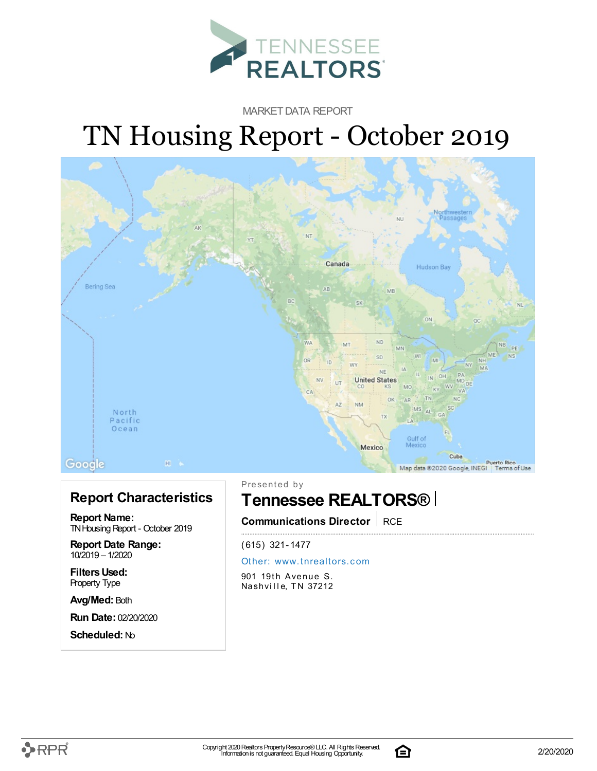

MARKET DATA REPORT

# TN Housing Report - October 2019



#### **Report Characteristics**

**Report Name:** TN Housing Report - October 2019

**Report Date Range:** 10/2019 – 1/2020

**FiltersUsed:** Property Type

**Avg/Med:** Both

**Run Date:** 02/20/2020

**Scheduled:** No

Presented by

### **Tennessee REALTORS®**

**Communications Director** RCE

(615) 321-1477

#### Other: [www.](http://www.tnrealtors.com)tnrealtors.com

901 19th Avenue S. Nashville, TN 37212



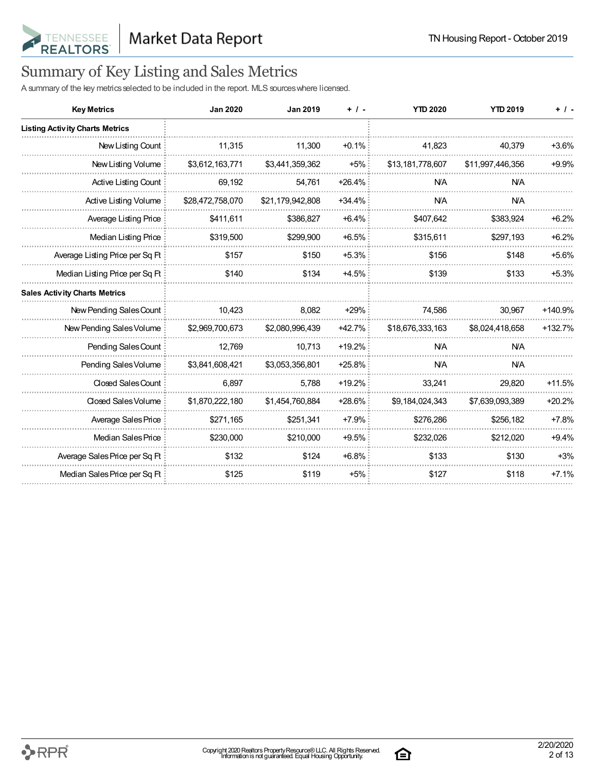

## Summary of Key Listing and Sales Metrics

A summary of the key metrics selected to be included in the report. MLS sources where licensed.

| <b>Key Metrics</b>                     | <b>Jan 2020</b>  | <b>Jan 2019</b>  | $+$ / -  | <b>YTD 2020</b>  | <b>YTD 2019</b>  | $+$ / -   |
|----------------------------------------|------------------|------------------|----------|------------------|------------------|-----------|
| <b>Listing Activity Charts Metrics</b> |                  |                  |          |                  |                  |           |
| New Listing Count                      | 11,315           | 11,300           | $+0.1%$  | 41,823           | 40,379           | $+3.6%$   |
| New Listing Volume                     | \$3,612,163,771  | \$3,441,359,362  | $+5%$    | \$13,181,778,607 | \$11,997,446,356 | $+9.9%$   |
| Active Listing Count                   | 69,192           | 54,761           | $+26.4%$ | <b>NA</b>        | <b>N/A</b>       |           |
| Active Listing Volume                  | \$28,472,758,070 | \$21,179,942,808 | $+34.4%$ | <b>NA</b>        | <b>N/A</b>       |           |
| Average Listing Price                  | \$411,611        | \$386,827        | $+6.4%$  | \$407,642        | \$383,924        | $+6.2%$   |
| Median Listing Price                   | \$319,500        | \$299,900        | $+6.5%$  | \$315,611        | \$297,193        | $+6.2%$   |
| Average Listing Price per Sq Ft        | \$157            | \$150            | $+5.3%$  | \$156            | \$148            | $+5.6%$   |
| Median Listing Price per Sq Ft         | \$140            | \$134            | $+4.5%$  | \$139            | \$133            | $+5.3%$   |
| <b>Sales Activity Charts Metrics</b>   |                  |                  |          |                  |                  |           |
| New Pending Sales Count                | 10,423           | 8.082            | $+29%$   | 74.586           | 30,967           | $+140.9%$ |
| New Pending Sales Volume               | \$2,969,700,673  | \$2,080,996,439  | +42.7%   | \$18,676,333,163 | \$8,024,418,658  | $+132.7%$ |
| Pending Sales Count                    | 12,769           | 10,713           | $+19.2%$ | <b>NA</b>        | <b>NA</b>        |           |
| Pending Sales Volume                   | \$3,841,608,421  | \$3,053,356,801  | +25.8%   | <b>NA</b>        | <b>NA</b>        |           |
| Closed Sales Count                     | 6,897            | 5,788            | $+19.2%$ | 33,241           | 29,820           | $+11.5%$  |
| Closed Sales Volume                    | \$1,870,222,180  | \$1,454,760,884  | +28.6%   | \$9,184,024,343  | \$7,639,093,389  | $+20.2%$  |
| Average Sales Price                    | \$271,165        | \$251,341        | $+7.9%$  | \$276,286        | \$256,182        | $+7.8%$   |
| Median Sales Price                     | \$230,000        | \$210,000        | $+9.5%$  | \$232,026        | \$212,020        | $+9.4%$   |
| Average Sales Price per Sq Ft          | \$132            | \$124            | $+6.8%$  | \$133            | \$130            | $+3%$     |
| Median Sales Price per Sq Ft           | \$125            | \$119            | $+5%$    | \$127            | \$118            | $+7.1%$   |

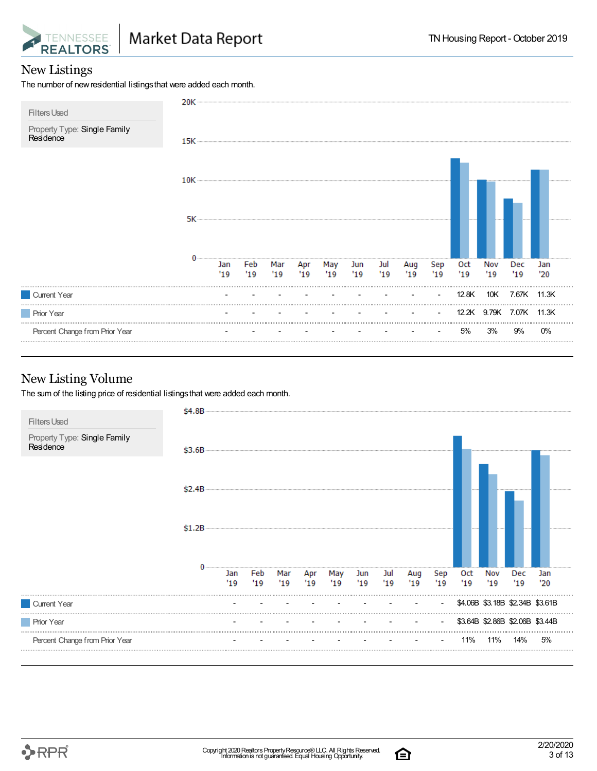

#### New Listings

The number of new residential listings that were added each month.



#### New Listing Volume

The sum of the listing price of residential listings that were added each month.



合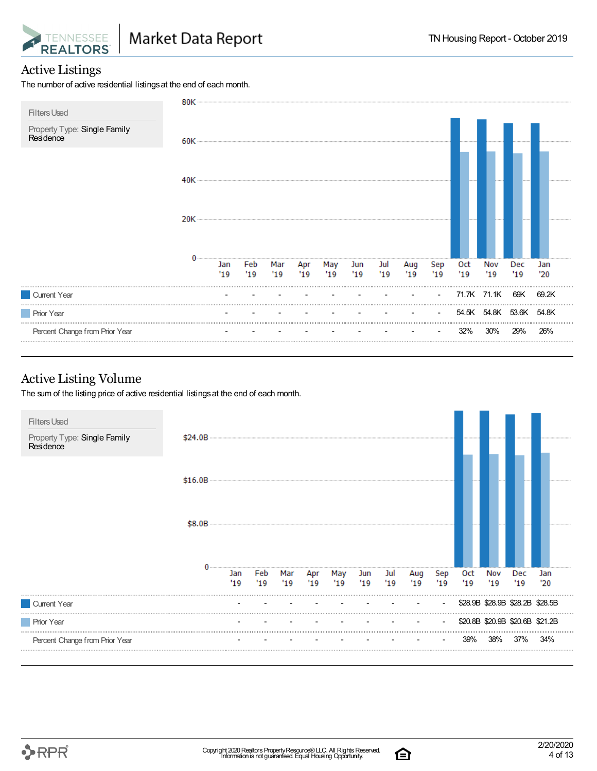

#### Active Listings

The number of active residential listings at the end of each month.



#### Active Listing Volume

The sum of the listing price of active residential listings at the end of each month.



合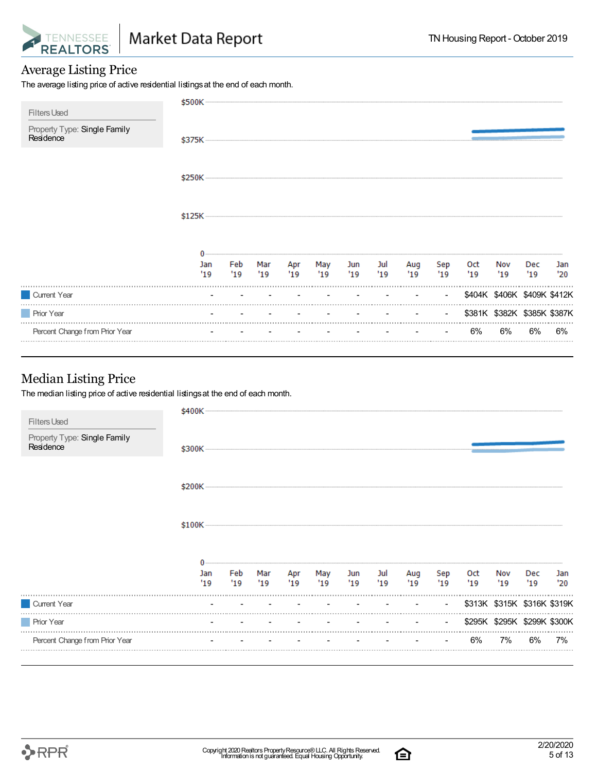

#### Average Listing Price

The average listing price of active residential listings at the end of each month.

| <b>Filters Used</b>                       | \$500K                         |           |            |           |            |                          |                                                           |            |                |           |                             |            |            |
|-------------------------------------------|--------------------------------|-----------|------------|-----------|------------|--------------------------|-----------------------------------------------------------|------------|----------------|-----------|-----------------------------|------------|------------|
| Property Type: Single Family<br>Residence | \$375K ——————————————————————— |           |            |           |            |                          |                                                           |            |                |           |                             |            |            |
|                                           |                                |           |            |           |            |                          |                                                           |            |                |           |                             |            |            |
|                                           |                                |           |            |           |            |                          |                                                           |            |                |           |                             |            |            |
|                                           |                                |           |            |           |            |                          |                                                           |            |                |           |                             |            |            |
|                                           | Jan<br>'19                     | Feb<br>19 | Mar<br>'19 | Apr<br>19 | May<br>'19 | Jun<br>19                | Jul<br>'19                                                | Aug<br>'19 | Sep<br>19      | Oct<br>19 | Nov<br>'19                  | Dec<br>'19 | Jan<br>'20 |
| Current Year                              |                                |           |            |           |            |                          |                                                           |            | $\blacksquare$ |           | \$404K \$406K \$409K \$412K |            |            |
| <b>Prior Year</b>                         |                                |           |            |           |            | <b>Contract Contract</b> | $\mathcal{L}_{\text{max}}$ and $\mathcal{L}_{\text{max}}$ |            | $\sim$         |           | \$381K \$382K \$385K \$387K |            |            |
| Percent Change from Prior Year            |                                |           |            |           |            |                          |                                                           |            | $\sim$         | 6%        | 6%                          | 6%         | 6%         |

#### Median Listing Price

The median listing price of active residential listings at the end of each month.

| <b>Filters Used</b>                       | \$400K     |            |            |           |           |            |             |            |                |                   |                             |            |            |
|-------------------------------------------|------------|------------|------------|-----------|-----------|------------|-------------|------------|----------------|-------------------|-----------------------------|------------|------------|
| Property Type: Single Family<br>Residence |            |            |            |           |           |            |             |            |                |                   |                             |            |            |
|                                           |            |            |            |           |           |            |             |            |                |                   |                             |            |            |
|                                           |            |            |            |           |           |            |             |            |                |                   |                             |            |            |
|                                           |            |            |            |           |           |            |             |            |                |                   |                             |            |            |
|                                           | Jan<br>'19 | Feb<br>'19 | Mar<br>'19 | Apr<br>19 | May<br>19 | Jun<br>'19 | Jul<br>"19" | Aug<br>'19 | Sep<br>19      | <b>Oct</b><br>'19 | Nov<br>'19                  | Dec<br>'19 | Jan<br>'20 |
| Current Year                              |            |            |            |           |           |            |             |            | $\blacksquare$ |                   | \$313K \$315K \$316K \$319K |            |            |
| <b>Prior Year</b>                         |            |            |            |           |           |            |             |            | $\sim$         |                   | \$295K \$295K \$299K \$300K |            |            |
| Percent Change from Prior Year            |            |            |            |           |           |            |             |            |                | 6%                | 7%                          | 6%         | 7%         |

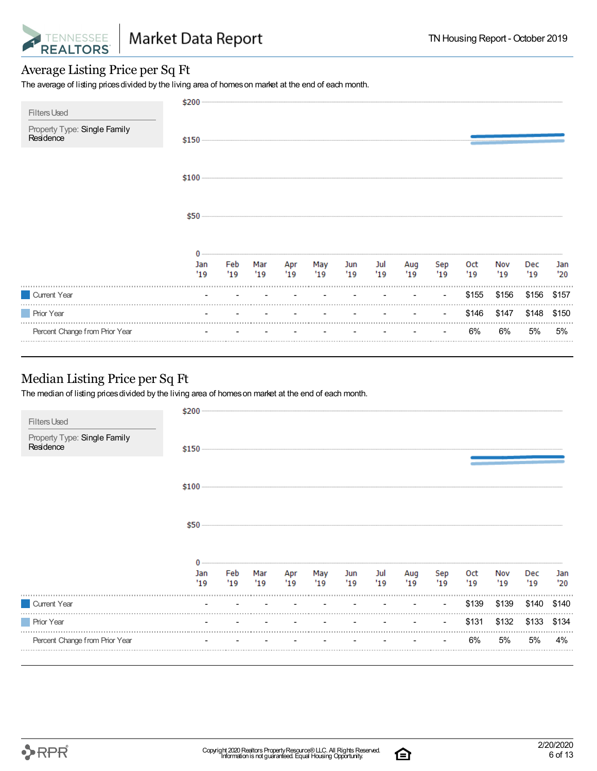

#### Average Listing Price per Sq Ft

The average of listing prices divided by the living area of homes on market at the end of each month.

| <b>Filters Used</b>                       | \$200      |            |            |            |            |            |            |            |                |            |            |            |            |
|-------------------------------------------|------------|------------|------------|------------|------------|------------|------------|------------|----------------|------------|------------|------------|------------|
| Property Type: Single Family<br>Residence |            |            |            |            |            |            |            |            |                |            |            |            |            |
|                                           | $$100 -$   |            |            |            |            |            |            |            |                |            |            |            |            |
|                                           | \$50       |            |            |            |            |            |            |            |                |            |            |            |            |
|                                           | Jan<br>'19 | Feb<br>'19 | Mar<br>'19 | Apr<br>'19 | May<br>'19 | Jun<br>'19 | Jul<br>'19 | Aug<br>'19 | Sep<br>'19     | Oct<br>'19 | Nov<br>'19 | Dec<br>'19 | Jan<br>'20 |
| Current Year                              |            |            |            |            |            |            |            |            | $\blacksquare$ | \$155      | \$156      | \$156      | \$157      |
| <b>Prior Year</b>                         |            |            |            |            |            |            |            |            |                | \$146      | \$147      | \$148      | \$150      |
| Percent Change from Prior Year            |            |            |            |            |            |            |            |            |                | 6%         | 6%         | 5%         | 5%         |

#### Median Listing Price per Sq Ft

The median of listing prices divided by the living area of homes on market at the end of each month.

| <b>Filters Used</b>                       | \$200      |           |                                             |            |            |                               |           |            |            |            |            |                   |            |
|-------------------------------------------|------------|-----------|---------------------------------------------|------------|------------|-------------------------------|-----------|------------|------------|------------|------------|-------------------|------------|
| Property Type: Single Family<br>Residence | $$150$ $-$ |           |                                             |            |            |                               |           |            |            |            |            |                   |            |
|                                           |            |           |                                             |            |            |                               |           |            |            |            |            |                   |            |
|                                           | \$50       |           |                                             |            |            |                               |           |            |            |            |            |                   |            |
|                                           | Jan<br>'19 | Feb<br>19 | Mar<br>19                                   | Apr<br>'19 | May<br>'19 | Jun<br>19                     | Jul<br>19 | Aug<br>'19 | Sep<br>'19 | Oct<br>'19 | Nov<br>'19 | <b>Dec</b><br>'19 | Jan<br>'20 |
| Current Year                              | $\sim$     |           | the company's company's company's company's |            | $\sim$     | the company of the company of |           |            | $\sim$     | \$139      | \$139      | \$140             | \$140      |
| <b>Prior Year</b>                         |            |           |                                             |            |            |                               |           |            | $\sim$     | \$131      | \$132      | \$133             | \$134      |
| Percent Change from Prior Year            |            |           |                                             |            |            |                               |           |            | $\sim$     | 6%         | 5%         | 5%                | 4%         |

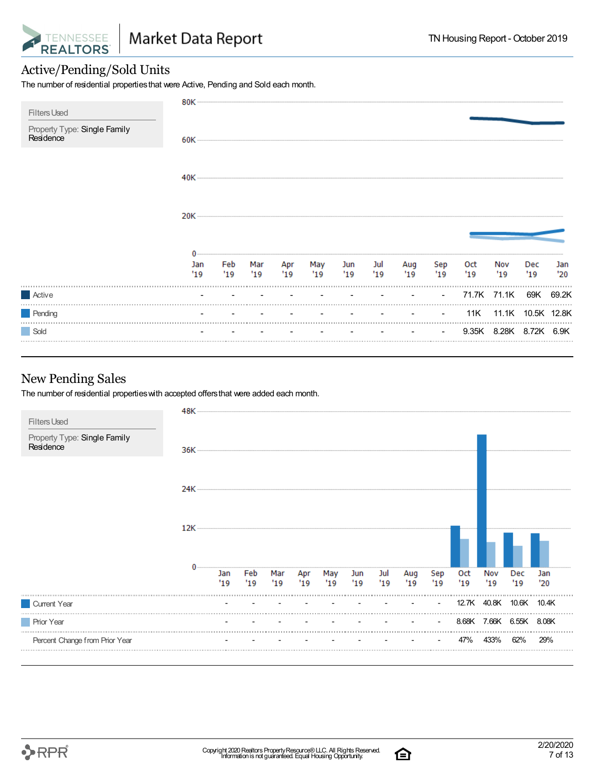

#### Active/Pending/Sold Units

The number of residential propertiesthat were Active, Pending and Sold each month.

| <b>Filters Used</b>                       | 80K ··············· |             |    |     |                   |    |                 |            |                          |           |                        |            |            |
|-------------------------------------------|---------------------|-------------|----|-----|-------------------|----|-----------------|------------|--------------------------|-----------|------------------------|------------|------------|
| Property Type: Single Family<br>Residence |                     |             |    |     |                   |    |                 |            |                          |           |                        |            |            |
|                                           |                     |             |    |     |                   |    |                 |            |                          |           |                        |            |            |
|                                           |                     |             |    |     |                   |    |                 |            |                          |           |                        |            |            |
|                                           |                     |             |    |     |                   |    |                 |            |                          |           |                        |            |            |
|                                           | Jan<br>'19          | Feb<br>"19" | 19 | '19 | Mar Apr May<br>19 | 19 | Jun Jul<br>"19" | Aug<br>'19 | Sep<br>19                | Oct<br>19 | Nov<br>'19             | Dec<br>'19 | Jan<br>'20 |
| Active                                    |                     |             |    |     |                   |    |                 |            | <b>Contract Contract</b> |           | 71.7K 71.1K 69K 69.2K  |            |            |
| Pending                                   |                     |             |    |     |                   |    |                 |            | <b>Contract Contract</b> |           | 11K 11.1K 10.5K 12.8K  |            |            |
| Sold                                      |                     |             |    |     |                   |    |                 |            | <b>Contract Contract</b> |           | 9.35K 8.28K 8.72K 6.9K |            |            |

#### New Pending Sales

The number of residential propertieswith accepted offersthat were added each month.



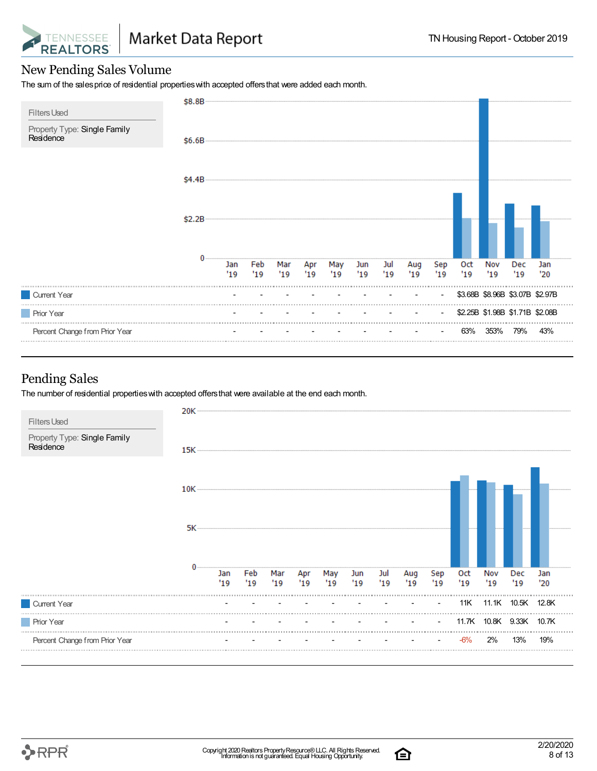

#### New Pending Sales Volume

The sum of the sales price of residential properties with accepted offers that were added each month.

| <b>Filters Used</b>                       | \$8.8B |            |             |            |            |            |            |            |            |                          |                   |            |                                 |            |
|-------------------------------------------|--------|------------|-------------|------------|------------|------------|------------|------------|------------|--------------------------|-------------------|------------|---------------------------------|------------|
| Property Type: Single Family<br>Residence | \$6.6B |            |             |            |            |            |            |            |            |                          |                   |            |                                 |            |
|                                           | \$4.4B |            |             |            |            |            |            |            |            |                          |                   |            |                                 |            |
|                                           | \$2.2B |            |             |            |            |            |            |            |            |                          |                   |            |                                 |            |
|                                           |        | Jan<br>'19 | Feb<br>"19" | Mar<br>'19 | Apr<br>'19 | May<br>'19 | Jun<br>'19 | Jul<br>'19 | Aug<br>'19 | Sep<br>'19               | <b>Oct</b><br>'19 | Nov<br>'19 | Dec<br>'19                      | Jan<br>'20 |
| Current Year                              |        |            |             |            |            |            |            |            |            | $\overline{\phantom{a}}$ |                   |            | \$3.68B \$8.96B \$3.07B \$2.97B |            |
| <b>Prior Year</b>                         |        |            |             |            |            |            |            |            |            | $\overline{\phantom{a}}$ |                   |            | \$2.25B \$1.98B \$1.71B \$2.08B |            |
| Percent Change from Prior Year            |        |            |             |            |            |            |            |            |            |                          | 63%               | 353%       | 79%                             | 43%        |

#### Pending Sales

The number of residential propertieswith accepted offersthat were available at the end each month.



白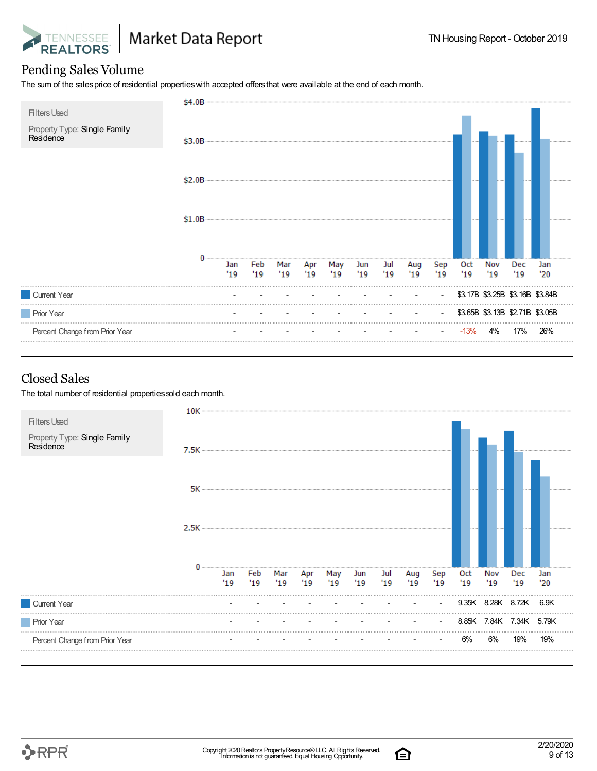

#### Pending Sales Volume

The sum of the salesprice of residential propertieswith accepted offersthat were available at the end of each month.

| <b>Filters Used</b>                       | \$4.0B |     |     |     |     |     |     |     |     |                          |        |      |                                 |     |
|-------------------------------------------|--------|-----|-----|-----|-----|-----|-----|-----|-----|--------------------------|--------|------|---------------------------------|-----|
| Property Type: Single Family<br>Residence | \$3.0B |     |     |     |     |     |     |     |     |                          |        |      |                                 |     |
|                                           | \$2.0B |     |     |     |     |     |     |     |     |                          |        |      |                                 |     |
|                                           | \$1.0B |     |     |     |     |     |     |     |     |                          |        |      |                                 |     |
|                                           |        | Jan | Feb | Mar | Apr | May | Jun | Jul | Aug | Sep                      | 0ct    | Nov  | Dec                             | Jan |
|                                           |        | '19 | '19 | '19 | '19 | 19  | '19 | '19 | '19 | 19                       | '19    | "19" | '19                             | '20 |
| Current Year                              |        |     |     |     |     |     |     |     |     | $\overline{\phantom{a}}$ |        |      | \$3.17B \$3.25B \$3.16B \$3.84B |     |
| <b>Prior Year</b>                         |        |     |     |     |     |     |     |     |     | $\overline{\phantom{a}}$ |        |      | \$3.65B \$3.13B \$2.71B \$3.05B |     |
| Percent Change from Prior Year            |        |     |     |     |     |     |     |     |     | $\overline{\phantom{a}}$ | $-13%$ | 4%   | 17%                             | 26% |

#### Closed Sales

The total number of residential properties sold each month.





白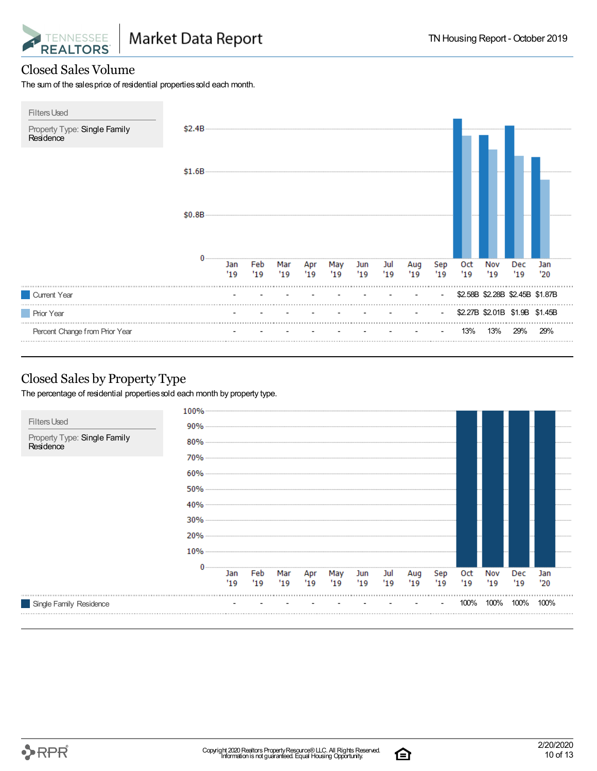![](_page_9_Picture_0.jpeg)

#### Closed Sales Volume

The sum of the sales price of residential properties sold each month.

![](_page_9_Figure_5.jpeg)

#### Closed Sales by Property Type

The percentage of residential properties sold each month by property type.

![](_page_9_Figure_8.jpeg)

![](_page_9_Picture_11.jpeg)

白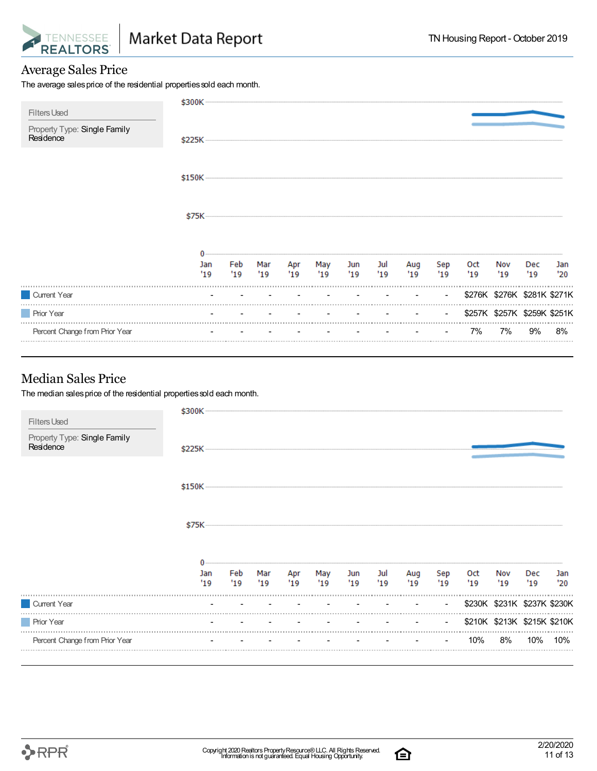![](_page_10_Picture_0.jpeg)

#### Average Sales Price

The average sales price of the residential properties sold each month.

| <b>Filters Used</b>                       | \$300K     |           |             |    |               |                          |                          |            |                |            |                             |            |            |
|-------------------------------------------|------------|-----------|-------------|----|---------------|--------------------------|--------------------------|------------|----------------|------------|-----------------------------|------------|------------|
| Property Type: Single Family<br>Residence | \$225K     |           |             |    |               |                          |                          |            |                |            |                             |            |            |
|                                           |            |           |             |    |               |                          |                          |            |                |            |                             |            |            |
|                                           |            |           |             |    |               |                          |                          |            |                |            |                             |            |            |
|                                           |            |           |             |    |               |                          |                          |            |                |            |                             |            |            |
|                                           | Jan<br>'19 | Feb<br>19 | Mar<br>"19" | 19 | Apr May<br>19 | Jun<br>'19               | Jul<br>'19               | Aug<br>'19 | Sep<br>19      | Oct<br>'19 | Nov<br>'19                  | Dec<br>'19 | Jan<br>'20 |
| Current Year                              |            |           |             |    |               |                          |                          |            | $\blacksquare$ |            | \$276K \$276K \$281K \$271K |            |            |
| <b>Prior Year</b>                         |            |           |             |    |               | <b>Contract Contract</b> | <b>Contract Contract</b> |            | $\sim$         |            | \$257K \$257K \$259K \$251K |            |            |
| Percent Change from Prior Year            |            |           |             |    |               |                          |                          |            | $\sim$         | 7%         | 7%                          | 9%         | 8%         |

#### Median Sales Price

The median sales price of the residential properties sold each month.

| <b>Filters Used</b>                       | \$300K     |            |             |            |            |            |             |            |                |                   |                             |                   |            |
|-------------------------------------------|------------|------------|-------------|------------|------------|------------|-------------|------------|----------------|-------------------|-----------------------------|-------------------|------------|
| Property Type: Single Family<br>Residence |            |            |             |            |            |            |             |            |                |                   |                             |                   |            |
|                                           |            |            |             |            |            |            |             |            |                |                   |                             |                   |            |
|                                           |            |            |             |            |            |            |             |            |                |                   |                             |                   |            |
|                                           |            |            |             |            |            |            |             |            |                |                   |                             |                   |            |
|                                           | Jan<br>'19 | Feb<br>'19 | Mar<br>"19" | Apr<br>'19 | May<br>'19 | Jun<br>'19 | Jul<br>"19" | Aug<br>'19 | Sep<br>'19     | <b>Oct</b><br>'19 | Nov<br>'19                  | <b>Dec</b><br>'19 | Jan<br>'20 |
| Current Year                              |            |            |             |            |            |            |             |            | $\blacksquare$ |                   | \$230K \$231K \$237K \$230K |                   |            |
| <b>Prior Year</b>                         |            |            |             |            |            |            |             |            | $\sim$         |                   | \$210K \$213K \$215K \$210K |                   |            |
| Percent Change from Prior Year            |            |            |             |            |            |            |             |            |                | 10%               | 8%                          | 10%               | 10%        |

![](_page_10_Picture_11.jpeg)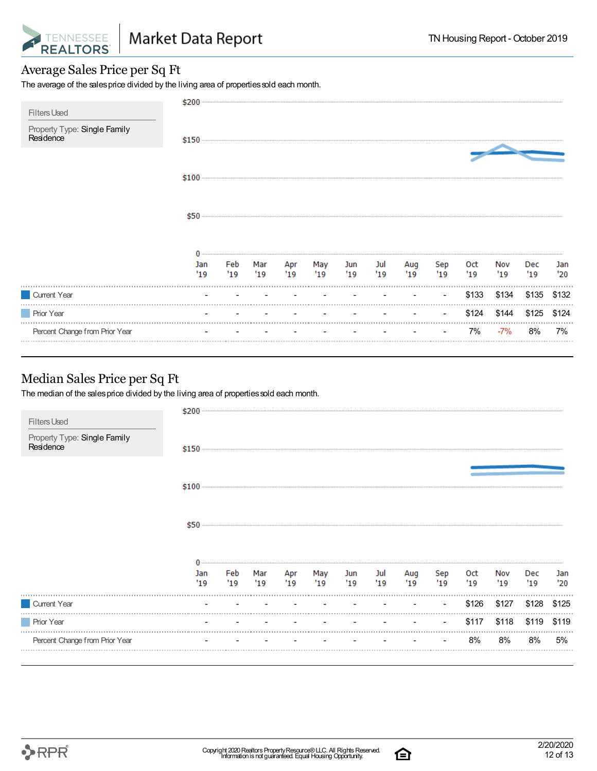![](_page_11_Picture_0.jpeg)

#### Average Sales Price per Sq Ft

The average of the sales price divided by the living area of properties sold each month.

| <b>Filters Used</b>                       | \$200      |            |            |            |            |            |            |            |                |            |            |            |            |
|-------------------------------------------|------------|------------|------------|------------|------------|------------|------------|------------|----------------|------------|------------|------------|------------|
| Property Type: Single Family<br>Residence | \$150      |            |            |            |            |            |            |            |                |            |            |            |            |
|                                           |            |            |            |            |            |            |            |            |                |            |            |            |            |
|                                           | \$50       |            |            |            |            |            |            |            |                |            |            |            |            |
|                                           |            |            |            |            |            |            |            |            |                |            |            |            |            |
|                                           | Jan<br>'19 | Feb<br>'19 | Mar<br>'19 | Apr<br>'19 | May<br>'19 | Jun<br>'19 | Jul<br>'19 | Aug<br>'19 | Sep<br>'19     | Oct<br>'19 | Nov<br>'19 | Dec<br>'19 | Jan<br>'20 |
| Current Year                              |            |            |            |            |            |            |            |            | $\blacksquare$ | \$133      | \$134      | \$135      | \$132      |
| <b>Prior Year</b>                         |            |            |            |            |            |            |            |            | $\blacksquare$ | \$124      | \$144      | \$125      | \$124      |
| Percent Change from Prior Year            |            |            |            |            |            |            |            |            |                | 7%         | $-7%$      | 8%         | 7%         |

#### Median Sales Price per Sq Ft

The median of the sales price divided by the living area of properties sold each month.

|                                                                  | \$200     |           |                                           |            |             |                                        |           |            |            |            |            |             |            |
|------------------------------------------------------------------|-----------|-----------|-------------------------------------------|------------|-------------|----------------------------------------|-----------|------------|------------|------------|------------|-------------|------------|
| <b>Filters Used</b><br>Property Type: Single Family<br>Residence |           |           |                                           |            |             |                                        |           |            |            |            |            |             |            |
|                                                                  |           |           |                                           |            |             |                                        |           |            |            |            |            |             |            |
|                                                                  | \$50      |           |                                           |            |             |                                        |           |            |            |            |            |             |            |
|                                                                  | Jan<br>19 | Feb<br>19 | Mar<br>19                                 | Apr<br>'19 | May<br>"19" | Jun<br>19                              | Jul<br>19 | Aug<br>'19 | Sep<br>'19 | Oct<br>'19 | Nov<br>'19 | Dec.<br>'19 | Jan<br>'20 |
| Current Year                                                     |           |           | the company of the company of the company |            | $\sim$      | the control of the control of the con- |           |            | $\sim$     | \$126      | \$127      | \$128       | \$125      |
| <b>Prior Year</b>                                                |           |           |                                           |            |             |                                        |           |            |            | \$117      | \$118      | \$119       | \$119      |
| Percent Change from Prior Year                                   |           |           |                                           |            |             |                                        |           |            |            | 8%         | 8%         | 8%          | 5%         |
|                                                                  |           |           |                                           |            |             |                                        |           |            |            |            |            |             |            |

![](_page_11_Picture_11.jpeg)